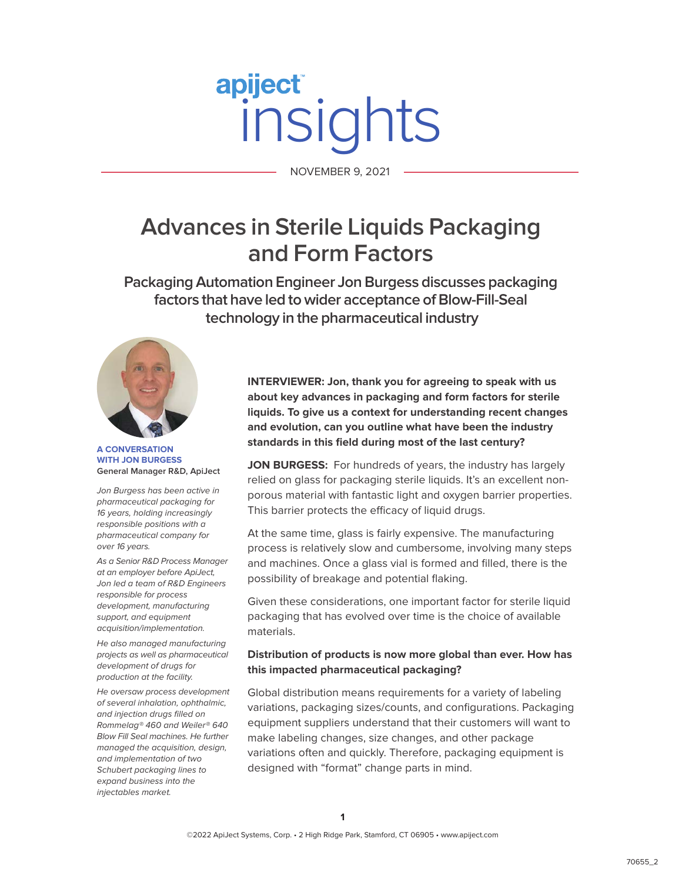# apiject NOVEMBER 9, 2021

NOVEMBER 9, 2021

# **Advances in Sterile Liquids Packaging and Form Factors**

**Packaging Automation Engineer Jon Burgess discusses packaging factors that have led to wider acceptance of Blow-Fill-Seal technology in the pharmaceutical industry**



**A CONVERSATION WITH JON BURGESS General Manager R&D, ApiJect**

Jon Burgess has been active in pharmaceutical packaging for 16 years, holding increasingly responsible positions with a pharmaceutical company for over 16 years.

As a Senior R&D Process Manager at an employer before ApiJect, Jon led a team of R&D Engineers responsible for process development, manufacturing support, and equipment acquisition/implementation.

He also managed manufacturing projects as well as pharmaceutical development of drugs for production at the facility.

He oversaw process development of several inhalation, ophthalmic, and injection drugs filled on Rommelag® 460 and Weiler® 640 Blow Fill Seal machines. He further managed the acquisition, design, and implementation of two Schubert packaging lines to expand business into the injectables market.

**INTERVIEWER: Jon, thank you for agreeing to speak with us about key advances in packaging and form factors for sterile liquids. To give us a context for understanding recent changes and evolution, can you outline what have been the industry standards in this field during most of the last century?**

JON BURGESS: For hundreds of years, the industry has largely relied on glass for packaging sterile liquids. It's an excellent nonporous material with fantastic light and oxygen barrier properties. This barrier protects the efficacy of liquid drugs.

At the same time, glass is fairly expensive. The manufacturing process is relatively slow and cumbersome, involving many steps and machines. Once a glass vial is formed and filled, there is the possibility of breakage and potential flaking.

Given these considerations, one important factor for sterile liquid packaging that has evolved over time is the choice of available materials.

# **Distribution of products is now more global than ever. How has this impacted pharmaceutical packaging?**

Global distribution means requirements for a variety of labeling variations, packaging sizes/counts, and configurations. Packaging equipment suppliers understand that their customers will want to make labeling changes, size changes, and other package variations often and quickly. Therefore, packaging equipment is designed with "format" change parts in mind.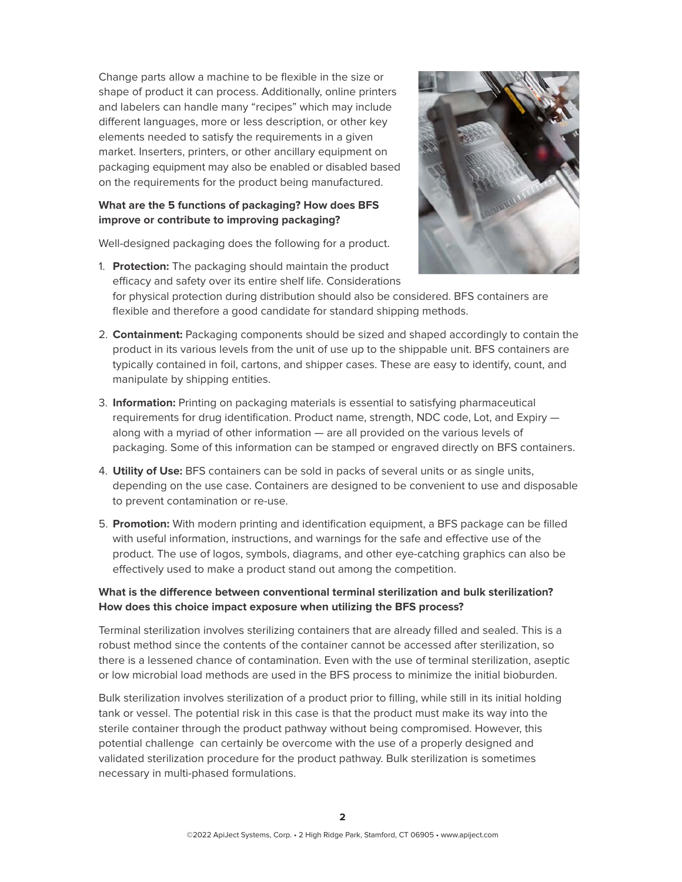Change parts allow a machine to be flexible in the size or shape of product it can process. Additionally, online printers and labelers can handle many "recipes" which may include different languages, more or less description, or other key elements needed to satisfy the requirements in a given market. Inserters, printers, or other ancillary equipment on packaging equipment may also be enabled or disabled based on the requirements for the product being manufactured.

# **What are the 5 functions of packaging? How does BFS improve or contribute to improving packaging?**

Well-designed packaging does the following for a product.

1. **Protection:** The packaging should maintain the product efficacy and safety over its entire shelf life. Considerations



for physical protection during distribution should also be considered. BFS containers are flexible and therefore a good candidate for standard shipping methods.

- 2. **Containment:** Packaging components should be sized and shaped accordingly to contain the product in its various levels from the unit of use up to the shippable unit. BFS containers are typically contained in foil, cartons, and shipper cases. These are easy to identify, count, and manipulate by shipping entities.
- 3. **Information:** Printing on packaging materials is essential to satisfying pharmaceutical requirements for drug identification. Product name, strength, NDC code, Lot, and Expiry along with a myriad of other information — are all provided on the various levels of packaging. Some of this information can be stamped or engraved directly on BFS containers.
- 4. **Utility of Use:** BFS containers can be sold in packs of several units or as single units, depending on the use case. Containers are designed to be convenient to use and disposable to prevent contamination or re-use.
- 5. **Promotion:** With modern printing and identification equipment, a BFS package can be filled with useful information, instructions, and warnings for the safe and effective use of the product. The use of logos, symbols, diagrams, and other eye-catching graphics can also be effectively used to make a product stand out among the competition.

# **What is the difference between conventional terminal sterilization and bulk sterilization? How does this choice impact exposure when utilizing the BFS process?**

Terminal sterilization involves sterilizing containers that are already filled and sealed. This is a robust method since the contents of the container cannot be accessed after sterilization, so there is a lessened chance of contamination. Even with the use of terminal sterilization, aseptic or low microbial load methods are used in the BFS process to minimize the initial bioburden.

Bulk sterilization involves sterilization of a product prior to filling, while still in its initial holding tank or vessel. The potential risk in this case is that the product must make its way into the sterile container through the product pathway without being compromised. However, this potential challenge can certainly be overcome with the use of a properly designed and validated sterilization procedure for the product pathway. Bulk sterilization is sometimes necessary in multi-phased formulations.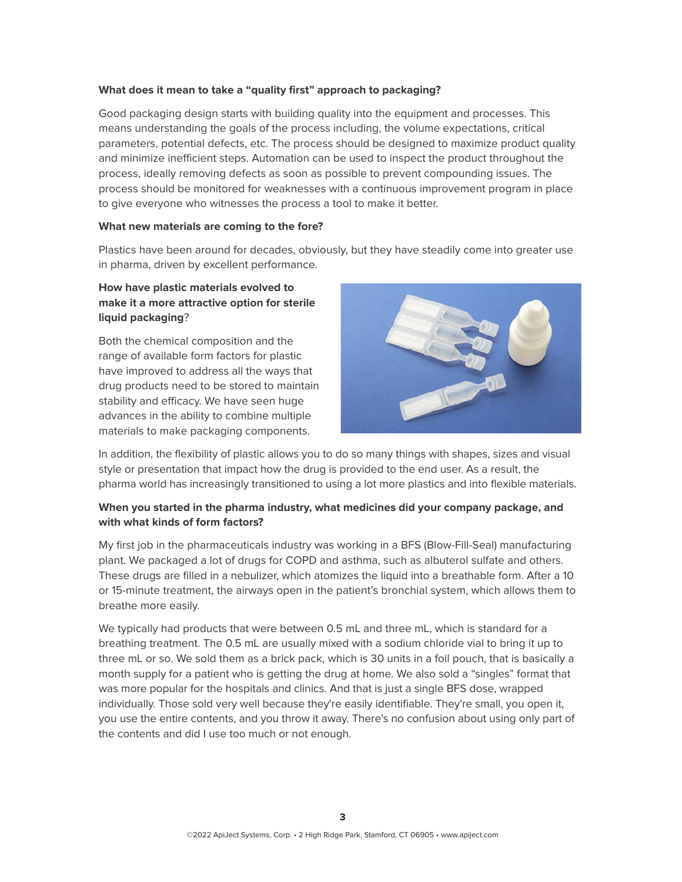#### **What does it mean to take a "quality first" approach to packaging?**

Good packaging design starts with building quality into the equipment and processes. This means understanding the goals of the process including, the volume expectations, critical parameters, potential defects, etc. The process should be designed to maximize product quality and minimize inefficient steps. Automation can be used to inspect the product throughout the process, ideally removing defects as soon as possible to prevent compounding issues. The process should be monitored for weaknesses with a continuous improvement program in place to give everyone who witnesses the process a tool to make it better.

#### **What new materials are coming to the fore?**

Plastics have been around for decades, obviously, but they have steadily come into greater use in pharma, driven by excellent performance.

# **How have plastic materials evolved to make it a more attractive option for sterile liquid packaging**?

Both the chemical composition and the range of available form factors for plastic have improved to address all the ways that drug products need to be stored to maintain stability and efficacy. We have seen huge advances in the ability to combine multiple materials to make packaging components.



In addition, the flexibility of plastic allows you to do so many things with shapes, sizes and visual style or presentation that impact how the drug is provided to the end user. As a result, the pharma world has increasingly transitioned to using a lot more plastics and into flexible materials.

# **When you started in the pharma industry, what medicines did your company package, and with what kinds of form factors?**

My first job in the pharmaceuticals industry was working in a BFS (Blow-Fill-Seal) manufacturing plant. We packaged a lot of drugs for COPD and asthma, such as albuterol sulfate and others. These drugs are filled in a nebulizer, which atomizes the liquid into a breathable form. After a 10 or 15-minute treatment, the airways open in the patient's bronchial system, which allows them to breathe more easily.

We typically had products that were between 0.5 mL and three mL, which is standard for a breathing treatment. The 0.5 mL are usually mixed with a sodium chloride vial to bring it up to three mL or so. We sold them as a brick pack, which is 30 units in a foil pouch, that is basically a month supply for a patient who is getting the drug at home. We also sold a "singles" format that was more popular for the hospitals and clinics. And that is just a single BFS dose, wrapped individually. Those sold very well because they're easily identifiable. They're small, you open it, you use the entire contents, and you throw it away. There's no confusion about using only part of the contents and did I use too much or not enough.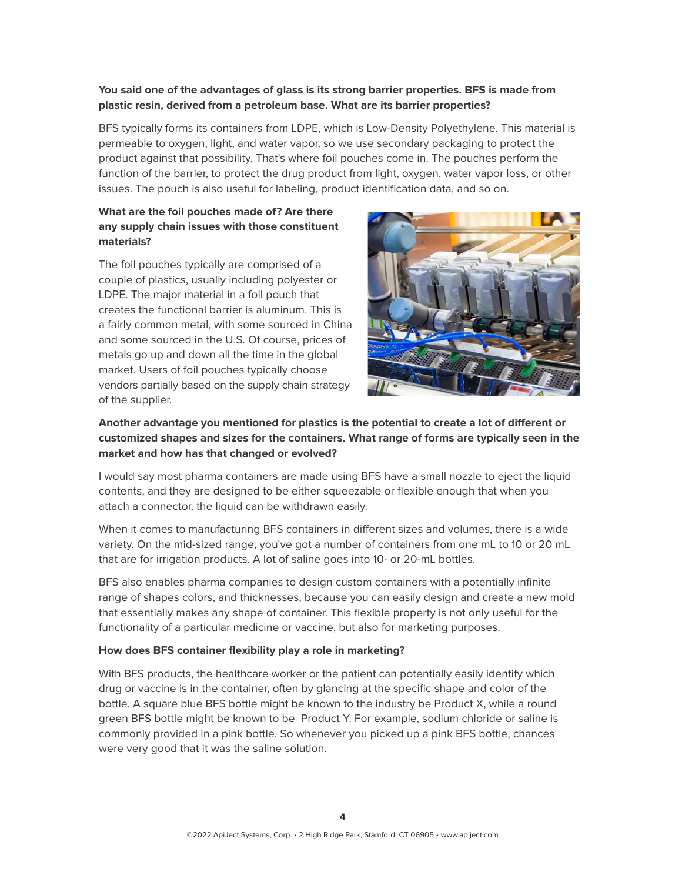# **You said one of the advantages of glass is its strong barrier properties. BFS is made from plastic resin, derived from a petroleum base. What are its barrier properties?**

BFS typically forms its containers from LDPE, which is Low-Density Polyethylene. This material is permeable to oxygen, light, and water vapor, so we use secondary packaging to protect the product against that possibility. That's where foil pouches come in. The pouches perform the function of the barrier, to protect the drug product from light, oxygen, water vapor loss, or other issues. The pouch is also useful for labeling, product identification data, and so on.

# **What are the foil pouches made of? Are there any supply chain issues with those constituent materials?**

The foil pouches typically are comprised of a couple of plastics, usually including polyester or LDPE. The major material in a foil pouch that creates the functional barrier is aluminum. This is a fairly common metal, with some sourced in China and some sourced in the U.S. Of course, prices of metals go up and down all the time in the global market. Users of foil pouches typically choose vendors partially based on the supply chain strategy of the supplier.



# **Another advantage you mentioned for plastics is the potential to create a lot of different or customized shapes and sizes for the containers. What range of forms are typically seen in the market and how has that changed or evolved?**

I would say most pharma containers are made using BFS have a small nozzle to eject the liquid contents, and they are designed to be either squeezable or flexible enough that when you attach a connector, the liquid can be withdrawn easily.

When it comes to manufacturing BFS containers in different sizes and volumes, there is a wide variety. On the mid-sized range, you've got a number of containers from one mL to 10 or 20 mL that are for irrigation products. A lot of saline goes into 10- or 20-mL bottles.

BFS also enables pharma companies to design custom containers with a potentially infinite range of shapes colors, and thicknesses, because you can easily design and create a new mold that essentially makes any shape of container. This flexible property is not only useful for the functionality of a particular medicine or vaccine, but also for marketing purposes.

#### **How does BFS container flexibility play a role in marketing?**

With BFS products, the healthcare worker or the patient can potentially easily identify which drug or vaccine is in the container, often by glancing at the specific shape and color of the bottle. A square blue BFS bottle might be known to the industry be Product X, while a round green BFS bottle might be known to be Product Y. For example, sodium chloride or saline is commonly provided in a pink bottle. So whenever you picked up a pink BFS bottle, chances were very good that it was the saline solution.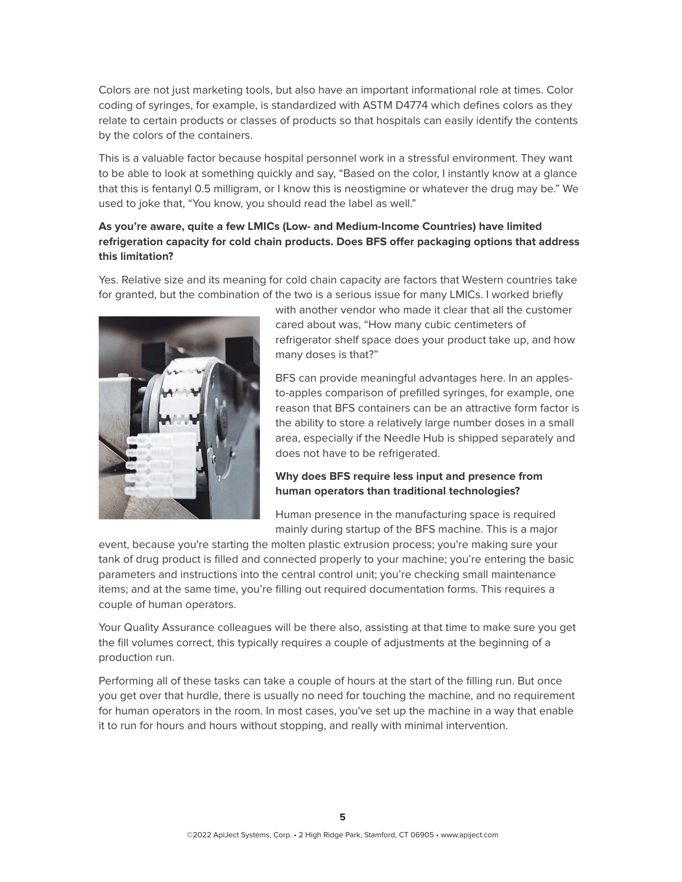Colors are not just marketing tools, but also have an important informational role at times. Color coding of syringes, for example, is standardized with ASTM D4774 which defines colors as they relate to certain products or classes of products so that hospitals can easily identify the contents by the colors of the containers.

This is a valuable factor because hospital personnel work in a stressful environment. They want to be able to look at something quickly and say, "Based on the color, I instantly know at a glance that this is fentanyl 0.5 milligram, or I know this is neostigmine or whatever the drug may be." We used to joke that, "You know, you should read the label as well."

# **As you're aware, quite a few LMICs (Low- and Medium-Income Countries) have limited refrigeration capacity for cold chain products. Does BFS offer packaging options that address this limitation?**

Yes. Relative size and its meaning for cold chain capacity are factors that Western countries take for granted, but the combination of the two is a serious issue for many LMICs. I worked briefly



with another vendor who made it clear that all the customer cared about was, "How many cubic centimeters of refrigerator shelf space does your product take up, and how many doses is that?"

BFS can provide meaningful advantages here. In an applesto-apples comparison of prefilled syringes, for example, one reason that BFS containers can be an attractive form factor is the ability to store a relatively large number doses in a small area, especially if the Needle Hub is shipped separately and does not have to be refrigerated.

# **Why does BFS require less input and presence from human operators than traditional technologies?**

Human presence in the manufacturing space is required mainly during startup of the BFS machine. This is a major

event, because you're starting the molten plastic extrusion process; you're making sure your tank of drug product is filled and connected properly to your machine; you're entering the basic parameters and instructions into the central control unit; you're checking small maintenance items; and at the same time, you're filling out required documentation forms. This requires a couple of human operators.

Your Quality Assurance colleagues will be there also, assisting at that time to make sure you get the fill volumes correct, this typically requires a couple of adjustments at the beginning of a production run.

Performing all of these tasks can take a couple of hours at the start of the filling run. But once you get over that hurdle, there is usually no need for touching the machine, and no requirement for human operators in the room. In most cases, you've set up the machine in a way that enable it to run for hours and hours without stopping, and really with minimal intervention.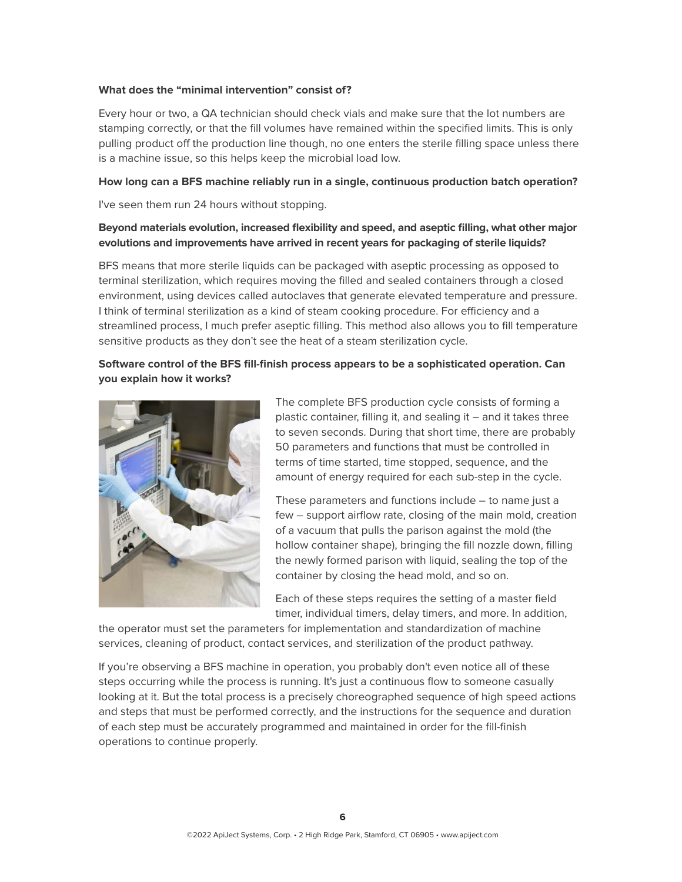#### **What does the "minimal intervention" consist of?**

Every hour or two, a QA technician should check vials and make sure that the lot numbers are stamping correctly, or that the fill volumes have remained within the specified limits. This is only pulling product off the production line though, no one enters the sterile filling space unless there is a machine issue, so this helps keep the microbial load low.

#### **How long can a BFS machine reliably run in a single, continuous production batch operation?**

I've seen them run 24 hours without stopping.

# **Beyond materials evolution, increased flexibility and speed, and aseptic filling, what other major evolutions and improvements have arrived in recent years for packaging of sterile liquids?**

BFS means that more sterile liquids can be packaged with aseptic processing as opposed to terminal sterilization, which requires moving the filled and sealed containers through a closed environment, using devices called autoclaves that generate elevated temperature and pressure. I think of terminal sterilization as a kind of steam cooking procedure. For efficiency and a streamlined process, I much prefer aseptic filling. This method also allows you to fill temperature sensitive products as they don't see the heat of a steam sterilization cycle.

# **Software control of the BFS fill-finish process appears to be a sophisticated operation. Can you explain how it works?**



The complete BFS production cycle consists of forming a plastic container, filling it, and sealing it – and it takes three to seven seconds. During that short time, there are probably 50 parameters and functions that must be controlled in terms of time started, time stopped, sequence, and the amount of energy required for each sub-step in the cycle.

These parameters and functions include – to name just a few – support airflow rate, closing of the main mold, creation of a vacuum that pulls the parison against the mold (the hollow container shape), bringing the fill nozzle down, filling the newly formed parison with liquid, sealing the top of the container by closing the head mold, and so on.

Each of these steps requires the setting of a master field timer, individual timers, delay timers, and more. In addition,

the operator must set the parameters for implementation and standardization of machine services, cleaning of product, contact services, and sterilization of the product pathway.

If you're observing a BFS machine in operation, you probably don't even notice all of these steps occurring while the process is running. It's just a continuous flow to someone casually looking at it. But the total process is a precisely choreographed sequence of high speed actions and steps that must be performed correctly, and the instructions for the sequence and duration of each step must be accurately programmed and maintained in order for the fill-finish operations to continue properly.